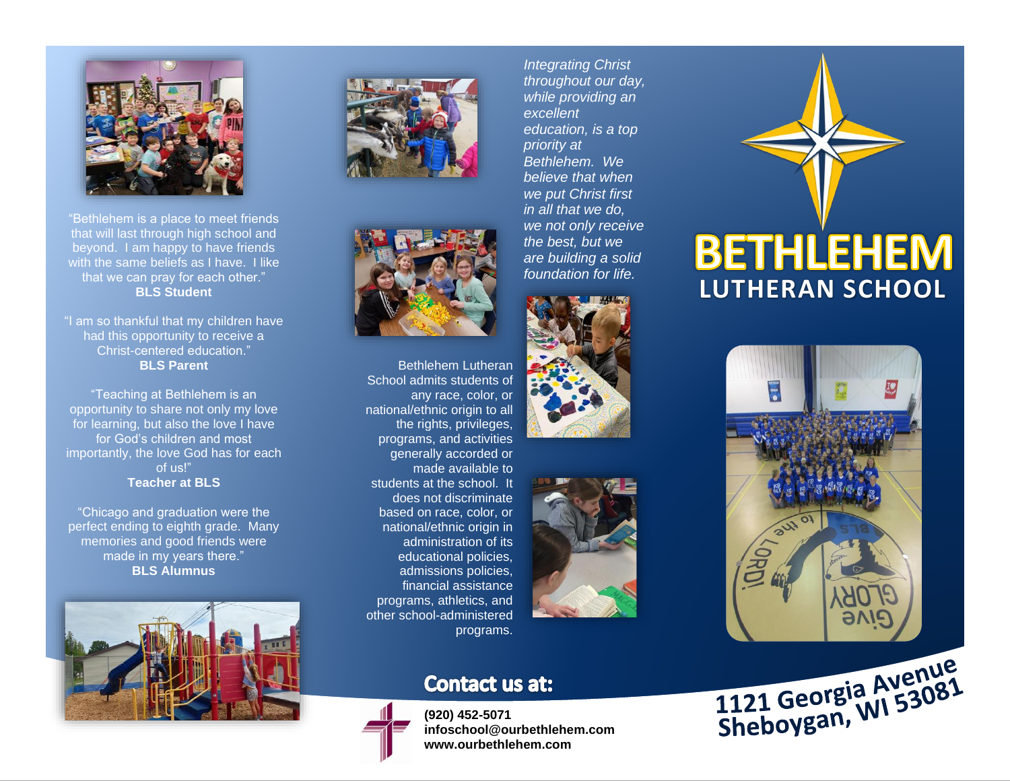

"Bethlehem is a place to meet friends that will last through high school and beyond. I am happy to have friends with the same beliefs as I have. I like that we can pray for each other." **BLS Student**

"I am so thankful that my children have had this opportunity to receive a Christ-centered education." **BLS Parent**

"Teaching at Bethlehem is an opportunity to share not only my love for learning, but also the love I have for God's children and most importantly, the love God has for each of us!" **Teacher at BLS**

"Chicago and graduation were the perfect ending to eighth grade. Many memories and good friends were made in my years there." **BLS Alumnus**







Bethlehem Lutheran School admits students of any race, color, or national/ethnic origin to all the rights, privileges, programs, and activities generally accorded or made available to students at the school. It does not discriminate based on race, color, or national/ethnic origin in administration of its educational policies, admissions policies, financial assistance programs, athletics, and other school-administered programs.

### **Contact us at:**



**(920) 452-5071 infoschool@ourbethlehem.com www.ourbethlehem.com**

*Integrating Christ throughout our day, while providing an excellent education, is a top priority at Bethlehem. We believe that when we put Christ first in all that we do, we not only receive the best, but we are building a solid foundation for life.*





## **BETHLEHEM LUTHERAN SCHOOL**